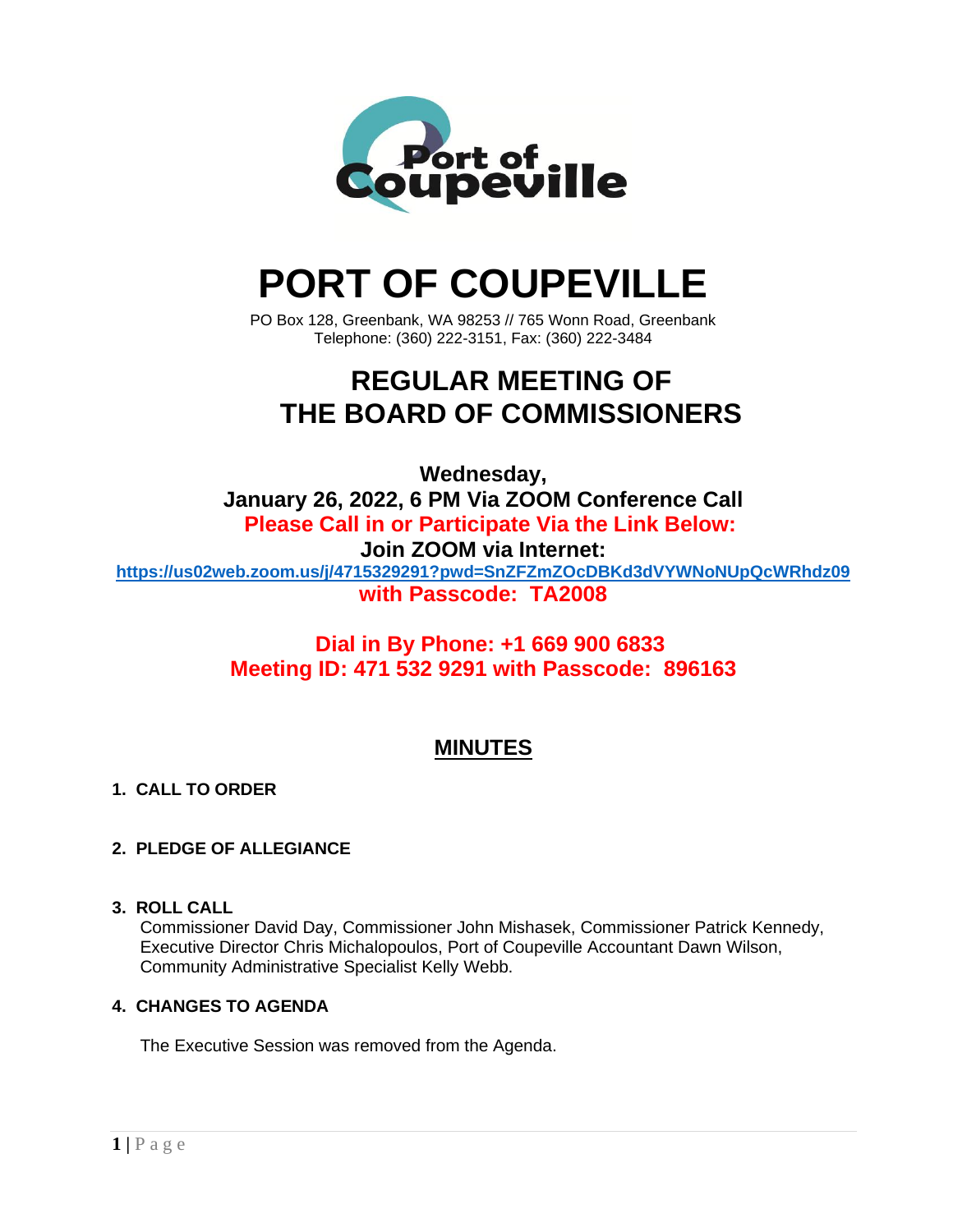

# **PORT OF COUPEVILLE**

PO Box 128, Greenbank, WA 98253 // 765 Wonn Road, Greenbank Telephone: (360) 222-3151, Fax: (360) 222-3484

## **REGULAR MEETING OF THE BOARD OF COMMISSIONERS**

**Wednesday, January 26, 2022, 6 PM Via ZOOM Conference Call Please Call in or Participate Via the Link Below: Join ZOOM via Internet: <https://us02web.zoom.us/j/4715329291?pwd=SnZFZmZOcDBKd3dVYWNoNUpQcWRhdz09> with Passcode: TA2008**

### **Dial in By Phone: +1 669 900 6833 Meeting ID: 471 532 9291 with Passcode: 896163**

### **MINUTES**

#### **1. CALL TO ORDER**

#### **2. PLEDGE OF ALLEGIANCE**

#### **3. ROLL CALL**

Commissioner David Day, Commissioner John Mishasek, Commissioner Patrick Kennedy, Executive Director Chris Michalopoulos, Port of Coupeville Accountant Dawn Wilson, Community Administrative Specialist Kelly Webb.

#### **4. CHANGES TO AGENDA**

The Executive Session was removed from the Agenda.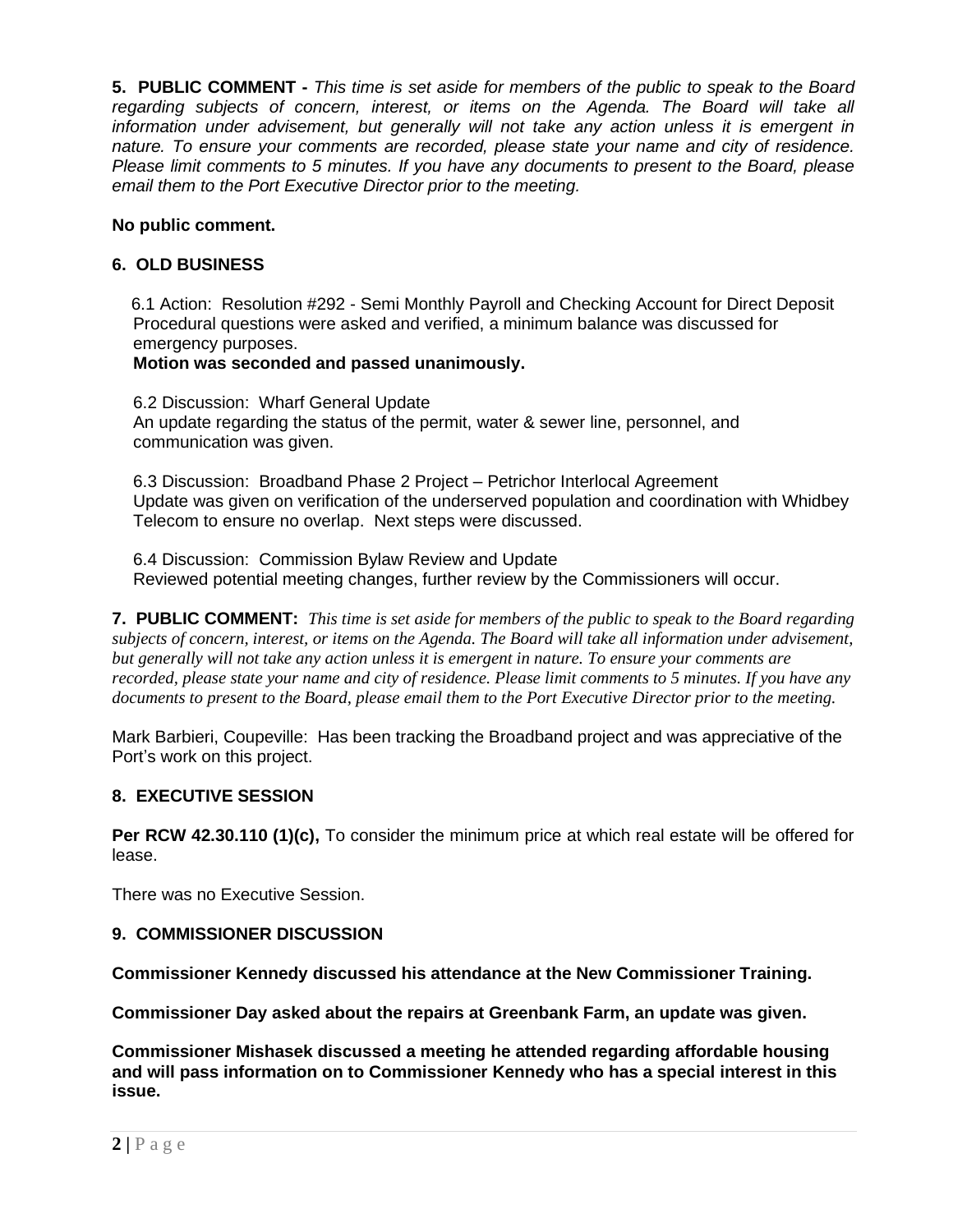**5. PUBLIC COMMENT -** *This time is set aside for members of the public to speak to the Board regarding subjects of concern, interest, or items on the Agenda. The Board will take all information under advisement, but generally will not take any action unless it is emergent in nature. To ensure your comments are recorded, please state your name and city of residence. Please limit comments to 5 minutes. If you have any documents to present to the Board, please email them to the Port Executive Director prior to the meeting.*

#### **No public comment.**

#### **6. OLD BUSINESS**

6.1 Action: Resolution #292 - Semi Monthly Payroll and Checking Account for Direct Deposit Procedural questions were asked and verified, a minimum balance was discussed for emergency purposes.

#### **Motion was seconded and passed unanimously.**

6.2 Discussion: Wharf General Update An update regarding the status of the permit, water & sewer line, personnel, and communication was given.

6.3 Discussion: Broadband Phase 2 Project – Petrichor Interlocal Agreement Update was given on verification of the underserved population and coordination with Whidbey Telecom to ensure no overlap. Next steps were discussed.

6.4 Discussion: Commission Bylaw Review and Update Reviewed potential meeting changes, further review by the Commissioners will occur.

**7. PUBLIC COMMENT:** *This time is set aside for members of the public to speak to the Board regarding subjects of concern, interest, or items on the Agenda. The Board will take all information under advisement, but generally will not take any action unless it is emergent in nature. To ensure your comments are recorded, please state your name and city of residence. Please limit comments to 5 minutes. If you have any documents to present to the Board, please email them to the Port Executive Director prior to the meeting.*

Mark Barbieri, Coupeville: Has been tracking the Broadband project and was appreciative of the Port's work on this project.

#### **8. EXECUTIVE SESSION**

**Per RCW 42.30.110 (1)(c),** To consider the minimum price at which real estate will be offered for lease.

There was no Executive Session.

#### **9. COMMISSIONER DISCUSSION**

**Commissioner Kennedy discussed his attendance at the New Commissioner Training.**

**Commissioner Day asked about the repairs at Greenbank Farm, an update was given.**

**Commissioner Mishasek discussed a meeting he attended regarding affordable housing and will pass information on to Commissioner Kennedy who has a special interest in this issue.**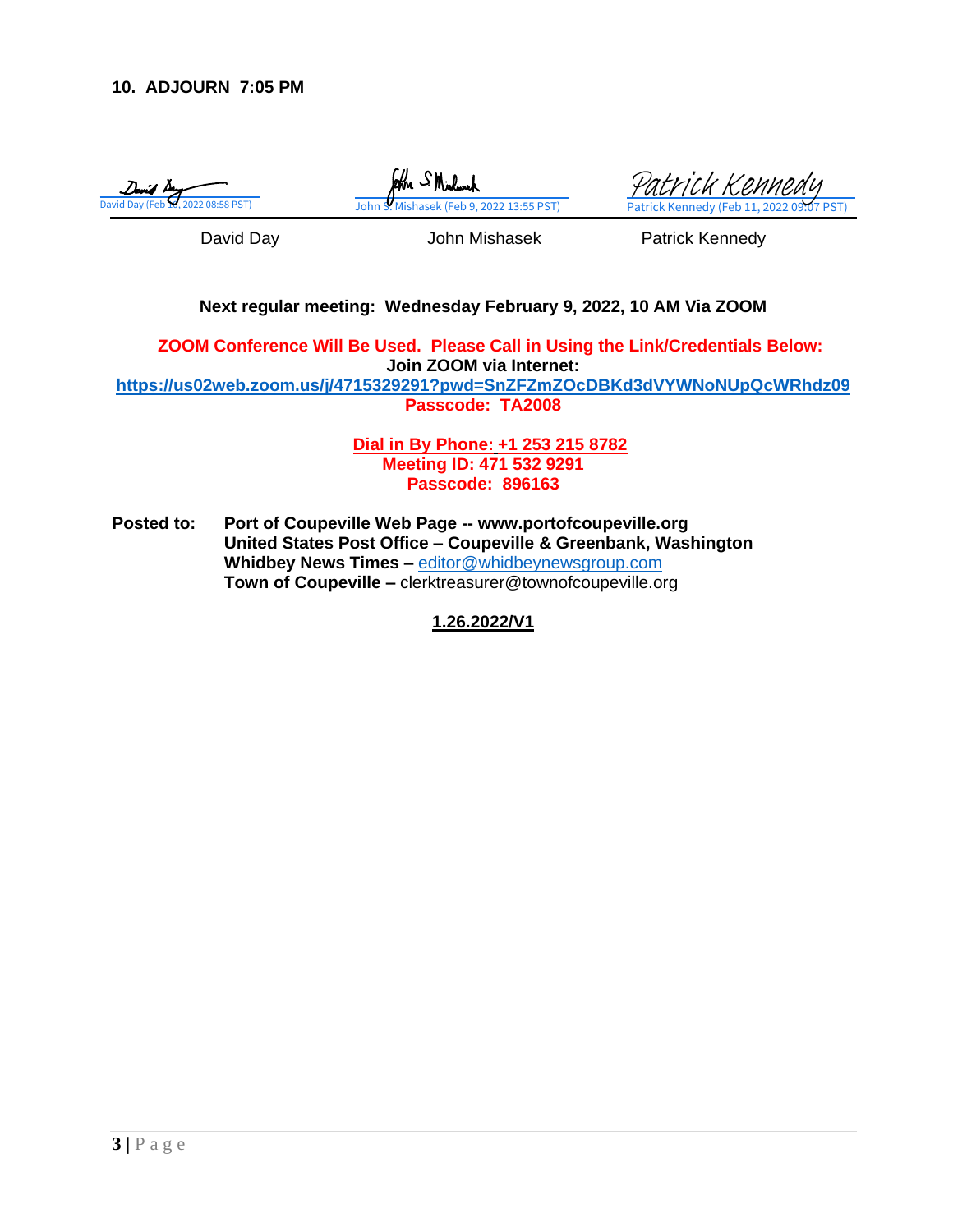

form SMichael

David Day (Feb 17, 2022 08:58 PST) [John S. Mishasek \(Feb 9, 2022 13:55 PST\)](https://na3.documents.adobe.com/verifier?tx=CBJCHBCAABAAWEGh293iasFL4siW6aZUPYWeVhCxxv2i) Patrick Kennedy (Feb 11, 2022 09:07 PST) [Patrick Kennedy](https://na3.documents.adobe.com/verifier?tx=CBJCHBCAABAAWEGh293iasFL4siW6aZUPYWeVhCxxv2i)

David Day **David Day** John Mishasek **Patrick Kennedy** 

#### **Next regular meeting: Wednesday February 9, 2022, 10 AM Via ZOOM**

**ZOOM Conference Will Be Used. Please Call in Using the Link/Credentials Below: Join ZOOM via Internet: <https://us02web.zoom.us/j/4715329291?pwd=SnZFZmZOcDBKd3dVYWNoNUpQcWRhdz09>**

**Passcode: TA2008**

**Dial in By Phone: +1 253 215 8782 Meeting ID: 471 532 9291 Passcode: 896163**

**Posted to: Port of Coupeville Web Page -- www.portofcoupeville.org United States Post Office – Coupeville & Greenbank, Washington Whidbey News Times –** [editor@whidbeynewsgroup.com](mailto:editor@whidbeynewsgroup.com) **Town of Coupeville –** [clerktreasurer@townofcoupeville.org](mailto:clerktreasurer@townofcoupeville.org)

**1.26.2022/V1**